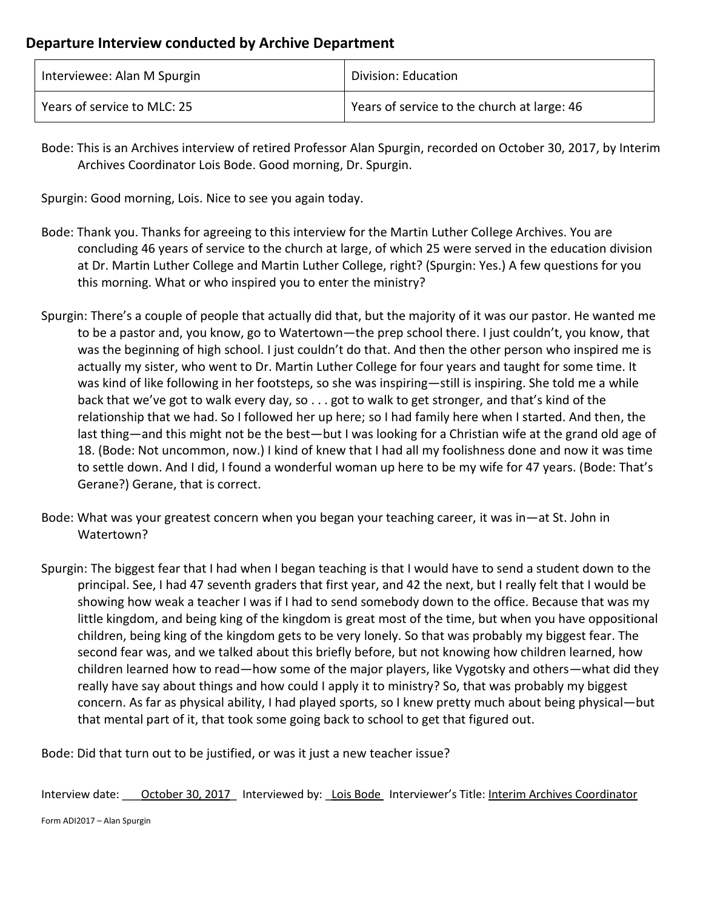| Interviewee: Alan M Spurgin | Division: Education                         |
|-----------------------------|---------------------------------------------|
| Years of service to MLC: 25 | Years of service to the church at large: 46 |

Bode: This is an Archives interview of retired Professor Alan Spurgin, recorded on October 30, 2017, by Interim Archives Coordinator Lois Bode. Good morning, Dr. Spurgin.

Spurgin: Good morning, Lois. Nice to see you again today.

- Bode: Thank you. Thanks for agreeing to this interview for the Martin Luther College Archives. You are concluding 46 years of service to the church at large, of which 25 were served in the education division at Dr. Martin Luther College and Martin Luther College, right? (Spurgin: Yes.) A few questions for you this morning. What or who inspired you to enter the ministry?
- Spurgin: There's a couple of people that actually did that, but the majority of it was our pastor. He wanted me to be a pastor and, you know, go to Watertown—the prep school there. I just couldn't, you know, that was the beginning of high school. I just couldn't do that. And then the other person who inspired me is actually my sister, who went to Dr. Martin Luther College for four years and taught for some time. It was kind of like following in her footsteps, so she was inspiring—still is inspiring. She told me a while back that we've got to walk every day, so . . . got to walk to get stronger, and that's kind of the relationship that we had. So I followed her up here; so I had family here when I started. And then, the last thing—and this might not be the best—but I was looking for a Christian wife at the grand old age of 18. (Bode: Not uncommon, now.) I kind of knew that I had all my foolishness done and now it was time to settle down. And I did, I found a wonderful woman up here to be my wife for 47 years. (Bode: That's Gerane?) Gerane, that is correct.
- Bode: What was your greatest concern when you began your teaching career, it was in—at St. John in Watertown?
- Spurgin: The biggest fear that I had when I began teaching is that I would have to send a student down to the principal. See, I had 47 seventh graders that first year, and 42 the next, but I really felt that I would be showing how weak a teacher I was if I had to send somebody down to the office. Because that was my little kingdom, and being king of the kingdom is great most of the time, but when you have oppositional children, being king of the kingdom gets to be very lonely. So that was probably my biggest fear. The second fear was, and we talked about this briefly before, but not knowing how children learned, how children learned how to read—how some of the major players, like Vygotsky and others—what did they really have say about things and how could I apply it to ministry? So, that was probably my biggest concern. As far as physical ability, I had played sports, so I knew pretty much about being physical—but that mental part of it, that took some going back to school to get that figured out.

Bode: Did that turn out to be justified, or was it just a new teacher issue?

Interview date: \_\_\_ October 30, 2017\_ Interviewed by: Lois Bode Interviewer's Title: Interim Archives Coordinator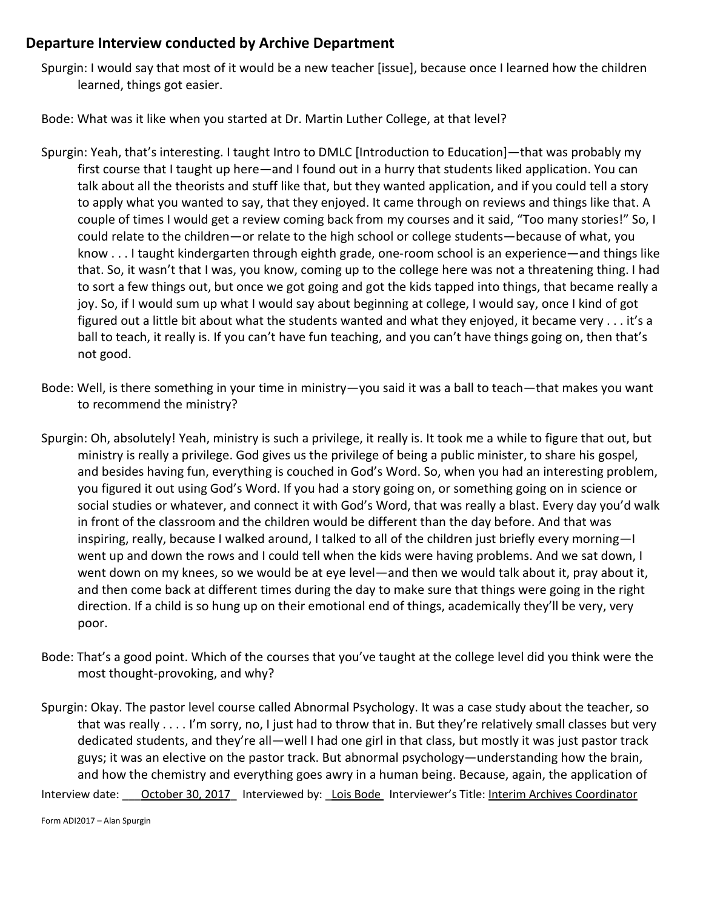Spurgin: I would say that most of it would be a new teacher [issue], because once I learned how the children learned, things got easier.

Bode: What was it like when you started at Dr. Martin Luther College, at that level?

- Spurgin: Yeah, that's interesting. I taught Intro to DMLC [Introduction to Education]—that was probably my first course that I taught up here—and I found out in a hurry that students liked application. You can talk about all the theorists and stuff like that, but they wanted application, and if you could tell a story to apply what you wanted to say, that they enjoyed. It came through on reviews and things like that. A couple of times I would get a review coming back from my courses and it said, "Too many stories!" So, I could relate to the children—or relate to the high school or college students—because of what, you know . . . I taught kindergarten through eighth grade, one-room school is an experience—and things like that. So, it wasn't that I was, you know, coming up to the college here was not a threatening thing. I had to sort a few things out, but once we got going and got the kids tapped into things, that became really a joy. So, if I would sum up what I would say about beginning at college, I would say, once I kind of got figured out a little bit about what the students wanted and what they enjoyed, it became very . . . it's a ball to teach, it really is. If you can't have fun teaching, and you can't have things going on, then that's not good.
- Bode: Well, is there something in your time in ministry—you said it was a ball to teach—that makes you want to recommend the ministry?
- Spurgin: Oh, absolutely! Yeah, ministry is such a privilege, it really is. It took me a while to figure that out, but ministry is really a privilege. God gives us the privilege of being a public minister, to share his gospel, and besides having fun, everything is couched in God's Word. So, when you had an interesting problem, you figured it out using God's Word. If you had a story going on, or something going on in science or social studies or whatever, and connect it with God's Word, that was really a blast. Every day you'd walk in front of the classroom and the children would be different than the day before. And that was inspiring, really, because I walked around, I talked to all of the children just briefly every morning—I went up and down the rows and I could tell when the kids were having problems. And we sat down, I went down on my knees, so we would be at eye level—and then we would talk about it, pray about it, and then come back at different times during the day to make sure that things were going in the right direction. If a child is so hung up on their emotional end of things, academically they'll be very, very poor.
- Bode: That's a good point. Which of the courses that you've taught at the college level did you think were the most thought-provoking, and why?
- Spurgin: Okay. The pastor level course called Abnormal Psychology. It was a case study about the teacher, so that was really . . . . I'm sorry, no, I just had to throw that in. But they're relatively small classes but very dedicated students, and they're all—well I had one girl in that class, but mostly it was just pastor track guys; it was an elective on the pastor track. But abnormal psychology—understanding how the brain, and how the chemistry and everything goes awry in a human being. Because, again, the application of

Interview date: \_\_\_ October 30, 2017\_ Interviewed by: \_Lois Bode Interviewer's Title: Interim Archives Coordinator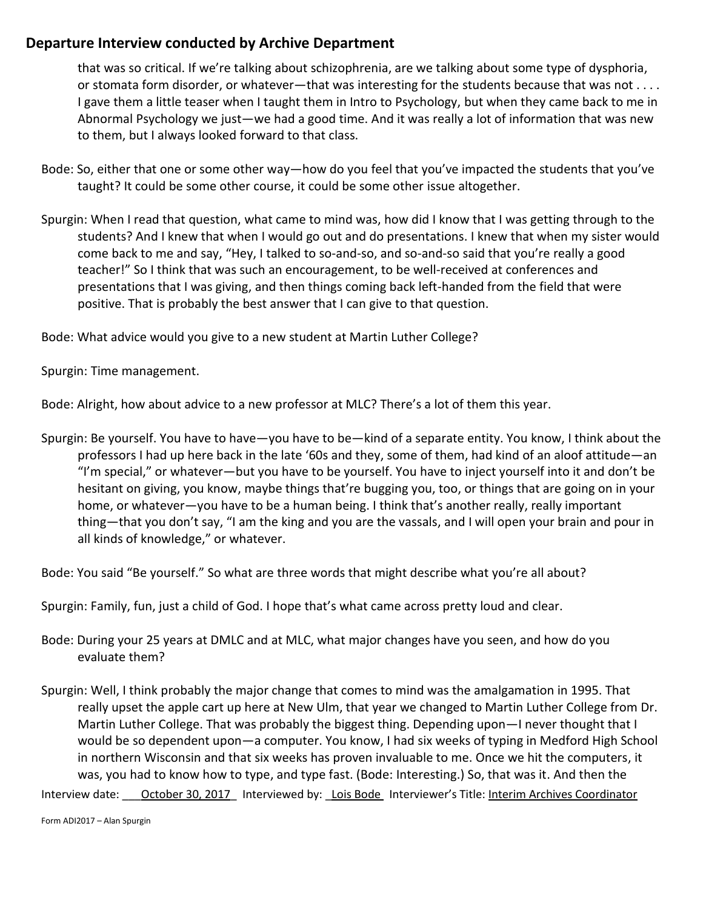that was so critical. If we're talking about schizophrenia, are we talking about some type of dysphoria, or stomata form disorder, or whatever—that was interesting for the students because that was not . . . . I gave them a little teaser when I taught them in Intro to Psychology, but when they came back to me in Abnormal Psychology we just—we had a good time. And it was really a lot of information that was new to them, but I always looked forward to that class.

- Bode: So, either that one or some other way—how do you feel that you've impacted the students that you've taught? It could be some other course, it could be some other issue altogether.
- Spurgin: When I read that question, what came to mind was, how did I know that I was getting through to the students? And I knew that when I would go out and do presentations. I knew that when my sister would come back to me and say, "Hey, I talked to so-and-so, and so-and-so said that you're really a good teacher!" So I think that was such an encouragement, to be well-received at conferences and presentations that I was giving, and then things coming back left-handed from the field that were positive. That is probably the best answer that I can give to that question.

Bode: What advice would you give to a new student at Martin Luther College?

Spurgin: Time management.

Bode: Alright, how about advice to a new professor at MLC? There's a lot of them this year.

Spurgin: Be yourself. You have to have—you have to be—kind of a separate entity. You know, I think about the professors I had up here back in the late '60s and they, some of them, had kind of an aloof attitude—an "I'm special," or whatever—but you have to be yourself. You have to inject yourself into it and don't be hesitant on giving, you know, maybe things that're bugging you, too, or things that are going on in your home, or whatever—you have to be a human being. I think that's another really, really important thing—that you don't say, "I am the king and you are the vassals, and I will open your brain and pour in all kinds of knowledge," or whatever.

Bode: You said "Be yourself." So what are three words that might describe what you're all about?

Spurgin: Family, fun, just a child of God. I hope that's what came across pretty loud and clear.

- Bode: During your 25 years at DMLC and at MLC, what major changes have you seen, and how do you evaluate them?
- Spurgin: Well, I think probably the major change that comes to mind was the amalgamation in 1995. That really upset the apple cart up here at New Ulm, that year we changed to Martin Luther College from Dr. Martin Luther College. That was probably the biggest thing. Depending upon—I never thought that I would be so dependent upon—a computer. You know, I had six weeks of typing in Medford High School in northern Wisconsin and that six weeks has proven invaluable to me. Once we hit the computers, it was, you had to know how to type, and type fast. (Bode: Interesting.) So, that was it. And then the

Interview date: \_\_\_ October 30, 2017\_ Interviewed by: \_Lois Bode Interviewer's Title: Interim Archives Coordinator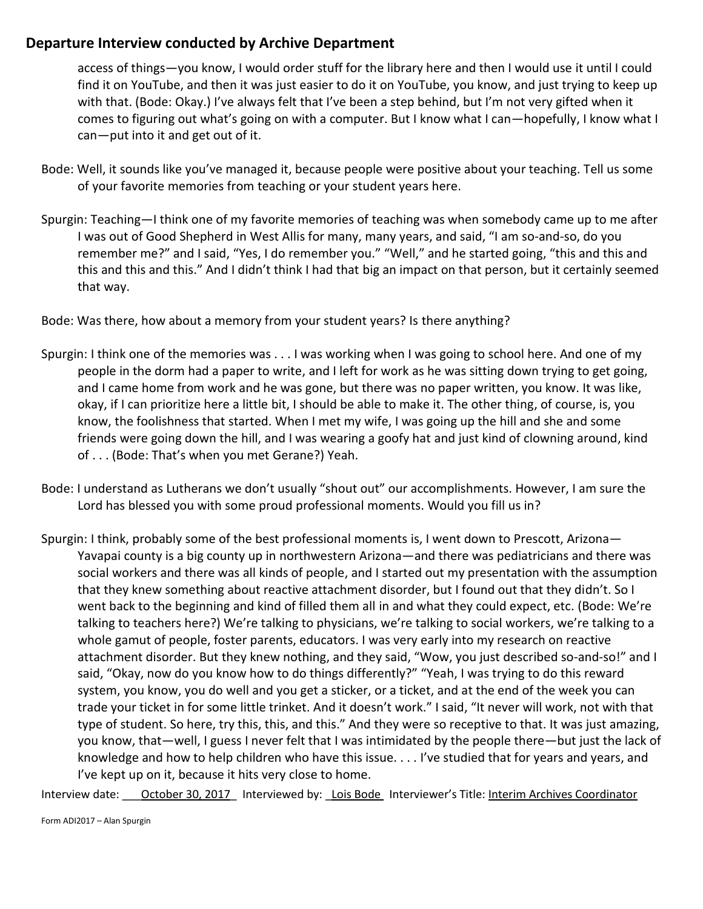access of things—you know, I would order stuff for the library here and then I would use it until I could find it on YouTube, and then it was just easier to do it on YouTube, you know, and just trying to keep up with that. (Bode: Okay.) I've always felt that I've been a step behind, but I'm not very gifted when it comes to figuring out what's going on with a computer. But I know what I can—hopefully, I know what I can—put into it and get out of it.

- Bode: Well, it sounds like you've managed it, because people were positive about your teaching. Tell us some of your favorite memories from teaching or your student years here.
- Spurgin: Teaching—I think one of my favorite memories of teaching was when somebody came up to me after I was out of Good Shepherd in West Allis for many, many years, and said, "I am so-and-so, do you remember me?" and I said, "Yes, I do remember you." "Well," and he started going, "this and this and this and this and this." And I didn't think I had that big an impact on that person, but it certainly seemed that way.

Bode: Was there, how about a memory from your student years? Is there anything?

- Spurgin: I think one of the memories was . . . I was working when I was going to school here. And one of my people in the dorm had a paper to write, and I left for work as he was sitting down trying to get going, and I came home from work and he was gone, but there was no paper written, you know. It was like, okay, if I can prioritize here a little bit, I should be able to make it. The other thing, of course, is, you know, the foolishness that started. When I met my wife, I was going up the hill and she and some friends were going down the hill, and I was wearing a goofy hat and just kind of clowning around, kind of . . . (Bode: That's when you met Gerane?) Yeah.
- Bode: I understand as Lutherans we don't usually "shout out" our accomplishments. However, I am sure the Lord has blessed you with some proud professional moments. Would you fill us in?
- Spurgin: I think, probably some of the best professional moments is, I went down to Prescott, Arizona— Yavapai county is a big county up in northwestern Arizona—and there was pediatricians and there was social workers and there was all kinds of people, and I started out my presentation with the assumption that they knew something about reactive attachment disorder, but I found out that they didn't. So I went back to the beginning and kind of filled them all in and what they could expect, etc. (Bode: We're talking to teachers here?) We're talking to physicians, we're talking to social workers, we're talking to a whole gamut of people, foster parents, educators. I was very early into my research on reactive attachment disorder. But they knew nothing, and they said, "Wow, you just described so-and-so!" and I said, "Okay, now do you know how to do things differently?" "Yeah, I was trying to do this reward system, you know, you do well and you get a sticker, or a ticket, and at the end of the week you can trade your ticket in for some little trinket. And it doesn't work." I said, "It never will work, not with that type of student. So here, try this, this, and this." And they were so receptive to that. It was just amazing, you know, that—well, I guess I never felt that I was intimidated by the people there—but just the lack of knowledge and how to help children who have this issue. . . . I've studied that for years and years, and I've kept up on it, because it hits very close to home.

Interview date: \_\_\_ October 30, 2017\_ Interviewed by: \_Lois Bode Interviewer's Title: Interim Archives Coordinator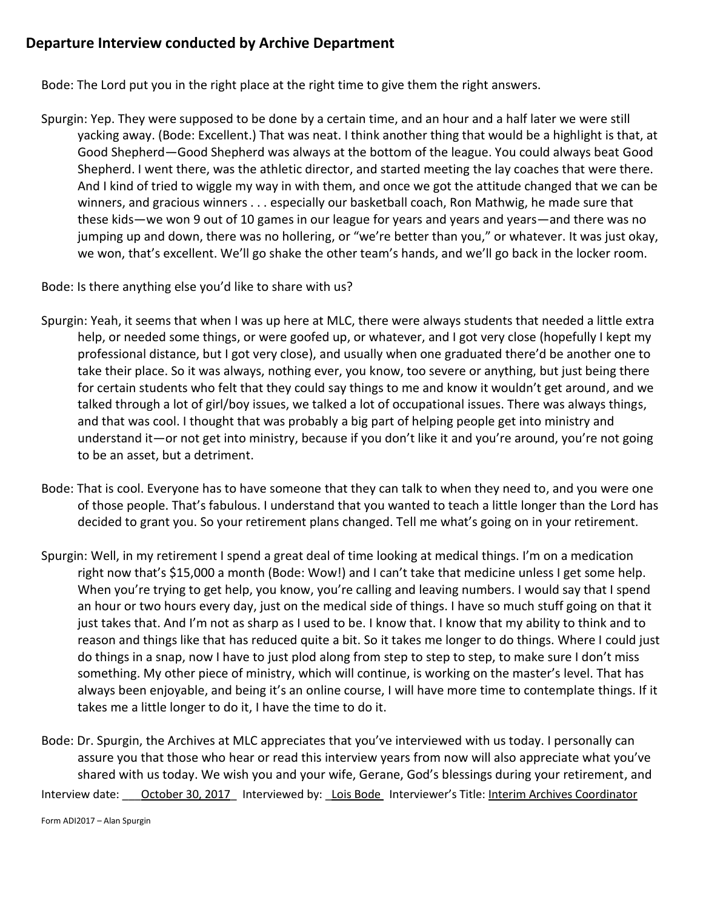Bode: The Lord put you in the right place at the right time to give them the right answers.

Spurgin: Yep. They were supposed to be done by a certain time, and an hour and a half later we were still yacking away. (Bode: Excellent.) That was neat. I think another thing that would be a highlight is that, at Good Shepherd—Good Shepherd was always at the bottom of the league. You could always beat Good Shepherd. I went there, was the athletic director, and started meeting the lay coaches that were there. And I kind of tried to wiggle my way in with them, and once we got the attitude changed that we can be winners, and gracious winners . . . especially our basketball coach, Ron Mathwig, he made sure that these kids—we won 9 out of 10 games in our league for years and years and years—and there was no jumping up and down, there was no hollering, or "we're better than you," or whatever. It was just okay, we won, that's excellent. We'll go shake the other team's hands, and we'll go back in the locker room.

Bode: Is there anything else you'd like to share with us?

- Spurgin: Yeah, it seems that when I was up here at MLC, there were always students that needed a little extra help, or needed some things, or were goofed up, or whatever, and I got very close (hopefully I kept my professional distance, but I got very close), and usually when one graduated there'd be another one to take their place. So it was always, nothing ever, you know, too severe or anything, but just being there for certain students who felt that they could say things to me and know it wouldn't get around, and we talked through a lot of girl/boy issues, we talked a lot of occupational issues. There was always things, and that was cool. I thought that was probably a big part of helping people get into ministry and understand it—or not get into ministry, because if you don't like it and you're around, you're not going to be an asset, but a detriment.
- Bode: That is cool. Everyone has to have someone that they can talk to when they need to, and you were one of those people. That's fabulous. I understand that you wanted to teach a little longer than the Lord has decided to grant you. So your retirement plans changed. Tell me what's going on in your retirement.
- Spurgin: Well, in my retirement I spend a great deal of time looking at medical things. I'm on a medication right now that's \$15,000 a month (Bode: Wow!) and I can't take that medicine unless I get some help. When you're trying to get help, you know, you're calling and leaving numbers. I would say that I spend an hour or two hours every day, just on the medical side of things. I have so much stuff going on that it just takes that. And I'm not as sharp as I used to be. I know that. I know that my ability to think and to reason and things like that has reduced quite a bit. So it takes me longer to do things. Where I could just do things in a snap, now I have to just plod along from step to step to step, to make sure I don't miss something. My other piece of ministry, which will continue, is working on the master's level. That has always been enjoyable, and being it's an online course, I will have more time to contemplate things. If it takes me a little longer to do it, I have the time to do it.
- Interview date: \_\_\_ October 30, 2017\_ Interviewed by: \_Lois Bode Interviewer's Title: Interim Archives Coordinator Bode: Dr. Spurgin, the Archives at MLC appreciates that you've interviewed with us today. I personally can assure you that those who hear or read this interview years from now will also appreciate what you've shared with us today. We wish you and your wife, Gerane, God's blessings during your retirement, and